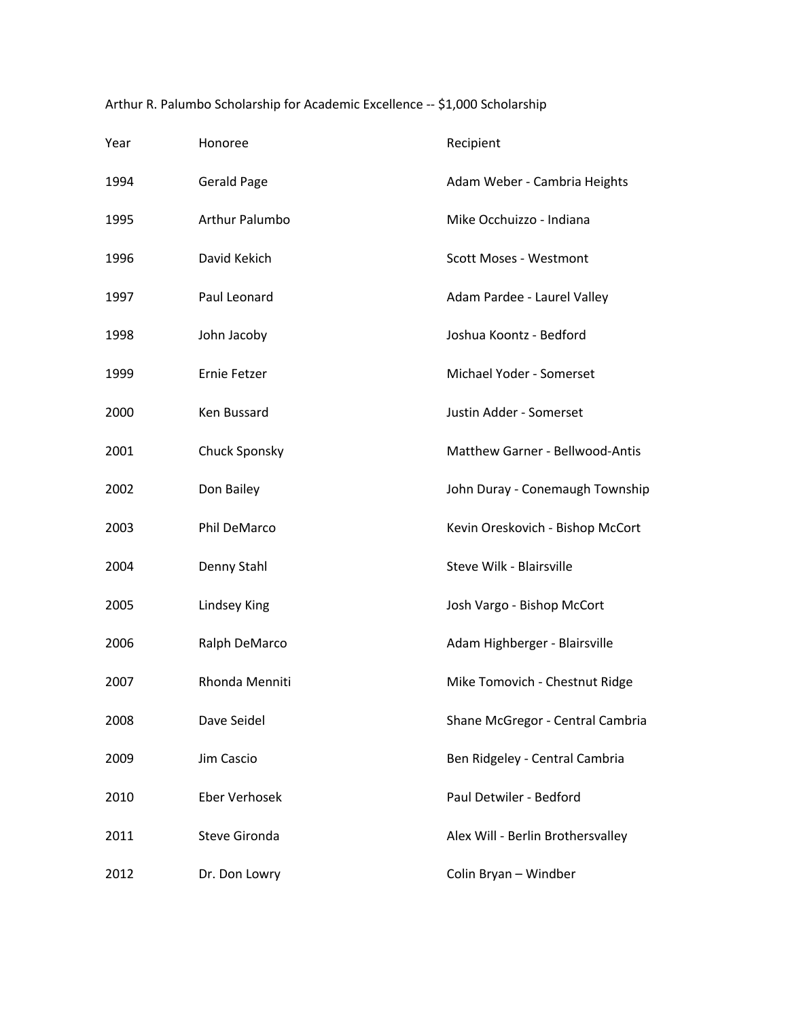| Year | Honoree               | Recipient                         |
|------|-----------------------|-----------------------------------|
| 1994 | <b>Gerald Page</b>    | Adam Weber - Cambria Heights      |
| 1995 | <b>Arthur Palumbo</b> | Mike Occhuizzo - Indiana          |
| 1996 | David Kekich          | <b>Scott Moses - Westmont</b>     |
| 1997 | Paul Leonard          | Adam Pardee - Laurel Valley       |
| 1998 | John Jacoby           | Joshua Koontz - Bedford           |
| 1999 | Ernie Fetzer          | Michael Yoder - Somerset          |
| 2000 | Ken Bussard           | Justin Adder - Somerset           |
| 2001 | <b>Chuck Sponsky</b>  | Matthew Garner - Bellwood-Antis   |
| 2002 | Don Bailey            | John Duray - Conemaugh Township   |
| 2003 | Phil DeMarco          | Kevin Oreskovich - Bishop McCort  |
| 2004 | Denny Stahl           | Steve Wilk - Blairsville          |
| 2005 | Lindsey King          | Josh Vargo - Bishop McCort        |
| 2006 | Ralph DeMarco         | Adam Highberger - Blairsville     |
| 2007 | Rhonda Menniti        | Mike Tomovich - Chestnut Ridge    |
| 2008 | Dave Seidel           | Shane McGregor - Central Cambria  |
| 2009 | Jim Cascio            | Ben Ridgeley - Central Cambria    |
| 2010 | <b>Eber Verhosek</b>  | Paul Detwiler - Bedford           |
| 2011 | <b>Steve Gironda</b>  | Alex Will - Berlin Brothersvalley |
| 2012 | Dr. Don Lowry         | Colin Bryan - Windber             |

Arthur R. Palumbo Scholarship for Academic Excellence -- \$1,000 Scholarship